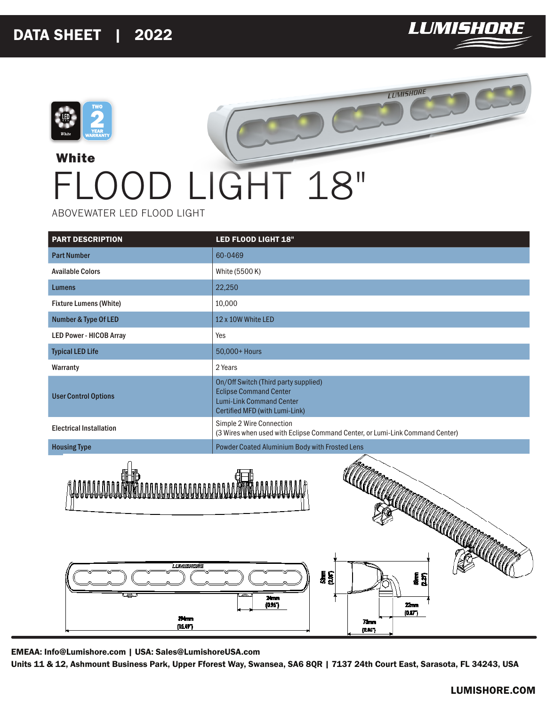

**LUMISHORE** 



## **White** FLOOD LIGHT 18"

ABOVEWATER LED FLOOD LIGHT

| <b>PART DESCRIPTION</b>                                                                                                    | LED FLOOD LIGHT 18"                                                                                                                        |  |
|----------------------------------------------------------------------------------------------------------------------------|--------------------------------------------------------------------------------------------------------------------------------------------|--|
| <b>Part Number</b>                                                                                                         | 60-0469                                                                                                                                    |  |
| <b>Available Colors</b>                                                                                                    | White (5500 K)                                                                                                                             |  |
| <b>Lumens</b>                                                                                                              | 22,250                                                                                                                                     |  |
| <b>Fixture Lumens (White)</b>                                                                                              | 10,000                                                                                                                                     |  |
| <b>Number &amp; Type Of LED</b>                                                                                            | 12 x 10W White LED                                                                                                                         |  |
| <b>LED Power - HICOB Array</b>                                                                                             | Yes                                                                                                                                        |  |
| <b>Typical LED Life</b>                                                                                                    | 50,000+ Hours                                                                                                                              |  |
| Warranty                                                                                                                   | 2 Years                                                                                                                                    |  |
| <b>User Control Options</b>                                                                                                | On/Off Switch (Third party supplied)<br><b>Eclipse Command Center</b><br><b>Lumi-Link Command Center</b><br>Certified MFD (with Lumi-Link) |  |
| <b>Electrical Installation</b>                                                                                             | Simple 2 Wire Connection<br>(3 Wires when used with Eclipse Command Center, or Lumi-Link Command Center)                                   |  |
| <b>Housing Type</b>                                                                                                        | Powder Coated Aluminium Body with Frosted Lens                                                                                             |  |
| AAAAAAAAAA<br><b>ARTICAL CONSTRUCTION OF REAL PROPERTY AND REAL PROPERTY OF REAL PROPERTY.</b>                             |                                                                                                                                            |  |
| LLAMESOMONAIE<br><b>iss</b><br>រ្ត<br>ស្ថិ<br>Á<br>24mm<br>(0.967)<br>Zmm<br>(0.87)<br>37 mm<br>7. mm<br>(1547)<br>(2.867) |                                                                                                                                            |  |

EMEAA: Info@Lumishore.com | USA: Sales@LumishoreUSA.com

Units 11 & 12, Ashmount Business Park, Upper Fforest Way, Swansea, SA6 8QR | 7137 24th Court East, Sarasota, FL 34243, USA